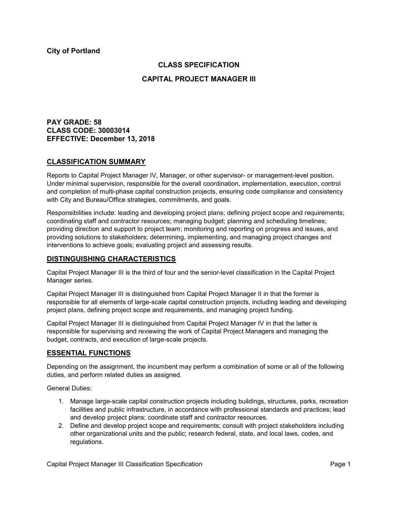## **CLASS SPECIFICATION**

## **CAPITAL PROJECT MANAGER III**

**PAY GRADE: 58 CLASS CODE: 30003014 EFFECTIVE: December 13, 2018**

## **CLASSIFICATION SUMMARY**

Reports to Capital Project Manager IV, Manager, or other supervisor- or management-level position. Under minimal supervision, responsible for the overall coordination, implementation, execution, control and completion of multi-phase capital construction projects, ensuring code compliance and consistency with City and Bureau/Office strategies, commitments, and goals.

Responsibilities include: leading and developing project plans; defining project scope and requirements; coordinating staff and contractor resources; managing budget; planning and scheduling timelines; providing direction and support to project team; monitoring and reporting on progress and issues, and providing solutions to stakeholders; determining, implementing, and managing project changes and interventions to achieve goals; evaluating project and assessing results.

## **DISTINGUISHING CHARACTERISTICS**

Capital Project Manager III is the third of four and the senior-level classification in the Capital Project Manager series.

Capital Project Manager III is distinguished from Capital Project Manager II in that the former is responsible for all elements of large-scale capital construction projects, including leading and developing project plans, defining project scope and requirements, and managing project funding.

Capital Project Manager III is distinguished from Capital Project Manager IV in that the latter is responsible for supervising and reviewing the work of Capital Project Managers and managing the budget, contracts, and execution of large-scale projects.

## **ESSENTIAL FUNCTIONS**

Depending on the assignment, the incumbent may perform a combination of some or all of the following duties, and perform related duties as assigned.

General Duties:

- 1. Manage large-scale capital construction projects including buildings, structures, parks, recreation facilities and public infrastructure, in accordance with professional standards and practices; lead and develop project plans; coordinate staff and contractor resources.
- 2. Define and develop project scope and requirements; consult with project stakeholders including other organizational units and the public; research federal, state, and local laws, codes, and regulations.

Capital Project Manager III Classification Specification **Page 1** and Page 1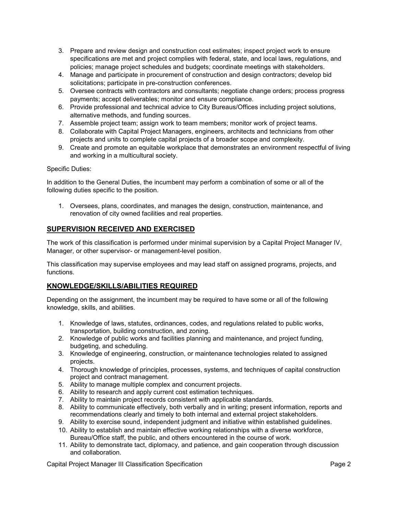- 3. Prepare and review design and construction cost estimates; inspect project work to ensure specifications are met and project complies with federal, state, and local laws, regulations, and policies; manage project schedules and budgets; coordinate meetings with stakeholders.
- 4. Manage and participate in procurement of construction and design contractors; develop bid solicitations; participate in pre-construction conferences.
- 5. Oversee contracts with contractors and consultants; negotiate change orders; process progress payments; accept deliverables; monitor and ensure compliance.
- 6. Provide professional and technical advice to City Bureaus/Offices including project solutions, alternative methods, and funding sources.
- 7. Assemble project team; assign work to team members; monitor work of project teams.
- 8. Collaborate with Capital Project Managers, engineers, architects and technicians from other projects and units to complete capital projects of a broader scope and complexity.
- 9. Create and promote an equitable workplace that demonstrates an environment respectful of living and working in a multicultural society.

Specific Duties:

In addition to the General Duties, the incumbent may perform a combination of some or all of the following duties specific to the position.

1. Oversees, plans, coordinates, and manages the design, construction, maintenance, and renovation of city owned facilities and real properties.

# **SUPERVISION RECEIVED AND EXERCISED**

The work of this classification is performed under minimal supervision by a Capital Project Manager IV, Manager, or other supervisor- or management-level position.

This classification may supervise employees and may lead staff on assigned programs, projects, and functions.

# **KNOWLEDGE/SKILLS/ABILITIES REQUIRED**

Depending on the assignment, the incumbent may be required to have some or all of the following knowledge, skills, and abilities.

- 1. Knowledge of laws, statutes, ordinances, codes, and regulations related to public works, transportation, building construction, and zoning.
- 2. Knowledge of public works and facilities planning and maintenance, and project funding, budgeting, and scheduling.
- 3. Knowledge of engineering, construction, or maintenance technologies related to assigned projects.
- 4. Thorough knowledge of principles, processes, systems, and techniques of capital construction project and contract management.
- 5. Ability to manage multiple complex and concurrent projects.
- 6. Ability to research and apply current cost estimation techniques.
- 7. Ability to maintain project records consistent with applicable standards.
- 8. Ability to communicate effectively, both verbally and in writing; present information, reports and recommendations clearly and timely to both internal and external project stakeholders.
- 9. Ability to exercise sound, independent judgment and initiative within established guidelines.
- 10. Ability to establish and maintain effective working relationships with a diverse workforce, Bureau/Office staff, the public, and others encountered in the course of work.
- 11. Ability to demonstrate tact, diplomacy, and patience, and gain cooperation through discussion and collaboration.

Capital Project Manager III Classification Specification **Page 2** and Page 2